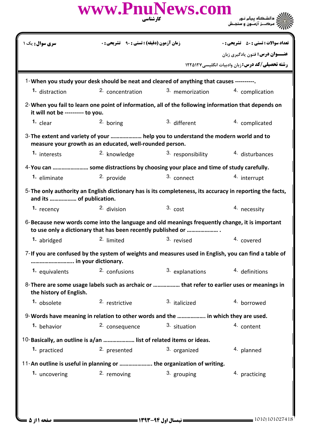|                                  | www.PnuNews.com<br>کار شناسی                                                                                                                                   |                   |                                                                                                          |
|----------------------------------|----------------------------------------------------------------------------------------------------------------------------------------------------------------|-------------------|----------------------------------------------------------------------------------------------------------|
| <b>سری سوال :</b> یک ۱           | <b>زمان آزمون (دقیقه) : تستی : ۹۰ تشریحی : 0</b>                                                                                                               |                   | <b>تعداد سوالات : تستی : 50 ٪ تشریحی : 0</b>                                                             |
|                                  |                                                                                                                                                                |                   | <b>عنـــوان درس:</b> فنون یادگیری زبان<br><b>رشته تحصیلی/کد درس:</b> زبان وادبیات انگلیسی ۱۲۲۵۱۲۷        |
|                                  | 1-When you study your desk should be neat and cleared of anything that causes ----------                                                                       |                   |                                                                                                          |
| 1. distraction                   | 2. concentration                                                                                                                                               | 3. memorization   | 4. complication                                                                                          |
| it will not be --------- to you. | 2-When you fail to learn one point of information, all of the following information that depends on                                                            |                   |                                                                                                          |
| 1. clear                         | 2. boring                                                                                                                                                      | 3. different      | 4. complicated                                                                                           |
|                                  | 3-The extent and variety of your  help you to understand the modern world and to<br>measure your growth as an educated, well-rounded person.                   |                   |                                                                                                          |
| 1. interests                     | <sup>2.</sup> knowledge                                                                                                                                        | 3. responsibility | 4. disturbances                                                                                          |
|                                  | 4-You can  some distractions by choosing your place and time of study carefully.                                                                               |                   |                                                                                                          |
| <sup>1.</sup> eliminate          | 2. provide                                                                                                                                                     | 3. connect        | 4. interrupt                                                                                             |
| and its  of publication.         |                                                                                                                                                                |                   | 5-The only authority an English dictionary has is its completeness, its accuracy in reporting the facts, |
| 1. recency                       | 2. division                                                                                                                                                    | $3. \text{cost}$  | 4. necessity                                                                                             |
|                                  | 6-Because new words come into the language and old meanings frequently change, it is important<br>to use only a dictionary that has been recently published or |                   |                                                                                                          |
| 1. abridged                      | 2. limited                                                                                                                                                     | 3. revised        | 4. covered                                                                                               |
| in your dictionary.              |                                                                                                                                                                |                   | 7-If you are confused by the system of weights and measures used in English, you can find a table of     |
| 1. equivalents                   | 2. confusions                                                                                                                                                  | 3. explanations   | 4. definitions                                                                                           |
| the history of English.          |                                                                                                                                                                |                   | 8-There are some usage labels such as archaic or  that refer to earlier uses or meanings in              |
| 1. obsolete                      | 2. restrictive                                                                                                                                                 | 3. italicized     | 4. borrowed                                                                                              |
|                                  | 9-Words have meaning in relation to other words and the  in which they are used.                                                                               |                   |                                                                                                          |
| <sup>1.</sup> behavior           | 2. consequence                                                                                                                                                 | 3. situation      | 4. content                                                                                               |
|                                  | 10-Basically, an outline is a/an  list of related items or ideas.                                                                                              |                   |                                                                                                          |
| 1. practiced                     | 2. presented                                                                                                                                                   | 3. organized      | 4. planned                                                                                               |
|                                  | 11-An outline is useful in planning or  the organization of writing.                                                                                           |                   |                                                                                                          |
| 1. uncovering                    | <sup>2.</sup> removing                                                                                                                                         | 3. grouping       | 4. practicing                                                                                            |
|                                  |                                                                                                                                                                |                   |                                                                                                          |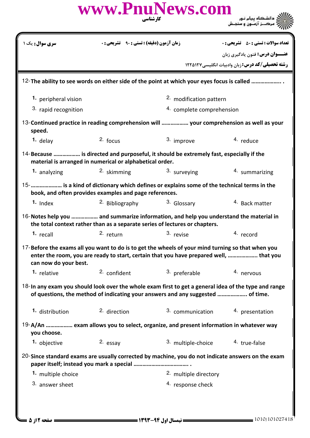|                                                                                                                                                                                                                               |                                                        | www.PnuNews.com<br>کار شناسی                                                                                                                                                                | الای دانشگاه پیام نور<br>این مرکب زازمون و سنجش                                                   |
|-------------------------------------------------------------------------------------------------------------------------------------------------------------------------------------------------------------------------------|--------------------------------------------------------|---------------------------------------------------------------------------------------------------------------------------------------------------------------------------------------------|---------------------------------------------------------------------------------------------------|
| <b>سری سوال:</b> یک ۱                                                                                                                                                                                                         |                                                        | زمان آزمون (دقیقه) : تستی : ۹۰                                                                                                                                                              | <b>تعداد سوالات : تستی : 50 ٪ تشریحی : 0</b>                                                      |
|                                                                                                                                                                                                                               |                                                        |                                                                                                                                                                                             | <b>عنـــوان درس:</b> فنون يادگيري زبان<br><b>رشته تحصیلی/کد درس:</b> زبان وادبیات انگلیسی ۱۲۲۵۱۲۷ |
|                                                                                                                                                                                                                               |                                                        |                                                                                                                                                                                             |                                                                                                   |
|                                                                                                                                                                                                                               |                                                        | 12- The ability to see words on either side of the point at which your eyes focus is called                                                                                                 |                                                                                                   |
| 1. peripheral vision                                                                                                                                                                                                          |                                                        | 2. modification pattern                                                                                                                                                                     |                                                                                                   |
| 3. rapid recognition                                                                                                                                                                                                          |                                                        | 4. complete comprehension                                                                                                                                                                   |                                                                                                   |
| speed.                                                                                                                                                                                                                        |                                                        | 13-Continued practice in reading comprehension will  your comprehension as well as your                                                                                                     |                                                                                                   |
| 1. delay                                                                                                                                                                                                                      | $2.$ focus                                             | 3. improve                                                                                                                                                                                  | 4. reduce                                                                                         |
| 14-Because  is directed and purposeful, it should be extremely fast, especially if the<br>material is arranged in numerical or alphabetical order.                                                                            |                                                        |                                                                                                                                                                                             |                                                                                                   |
| 1. analyzing                                                                                                                                                                                                                  | 2. skimming                                            | 3. surveying                                                                                                                                                                                | 4. summarizing                                                                                    |
|                                                                                                                                                                                                                               | book, and often provides examples and page references. | 15-      is a kind of dictionary which defines or explains some of the technical terms in the                                                                                               |                                                                                                   |
| $1.$ Index                                                                                                                                                                                                                    | 2. Bibliography                                        | 3. Glossary                                                                                                                                                                                 | 4. Back matter                                                                                    |
|                                                                                                                                                                                                                               |                                                        | 16-Notes help you  and summarize information, and help you understand the material in<br>the total context rather than as a separate series of lectures or chapters.                        |                                                                                                   |
| 1. recall and the state of the state of the state of the state of the state of the state of the state of the state of the state of the state of the state of the state of the state of the state of the state of the state of |                                                        | 2. return 3. revise 4. record                                                                                                                                                               |                                                                                                   |
| can now do your best.                                                                                                                                                                                                         |                                                        | 17-Before the exams all you want to do is to get the wheels of your mind turning so that when you<br>enter the room, you are ready to start, certain that you have prepared well,  that you |                                                                                                   |
| <sup>1.</sup> relative                                                                                                                                                                                                        | 2. confident                                           | 3. preferable                                                                                                                                                                               | 4. nervous                                                                                        |
|                                                                                                                                                                                                                               |                                                        | 18-In any exam you should look over the whole exam first to get a general idea of the type and range<br>of questions, the method of indicating your answers and any suggested  of time.     |                                                                                                   |
| 1. distribution                                                                                                                                                                                                               | 2. direction                                           | 3. communication                                                                                                                                                                            | 4. presentation                                                                                   |
| you choose.                                                                                                                                                                                                                   |                                                        | 19-A/An  exam allows you to select, organize, and present information in whatever way                                                                                                       |                                                                                                   |
| 1. objective                                                                                                                                                                                                                  | 2. essay                                               | 3. multiple-choice                                                                                                                                                                          | 4. true-false                                                                                     |
|                                                                                                                                                                                                                               |                                                        | 20-Since standard exams are usually corrected by machine, you do not indicate answers on the exam                                                                                           |                                                                                                   |
| 1. multiple choice                                                                                                                                                                                                            |                                                        | 2. multiple directory                                                                                                                                                                       |                                                                                                   |
| 3. answer sheet                                                                                                                                                                                                               |                                                        | 4. response check                                                                                                                                                                           |                                                                                                   |
|                                                                                                                                                                                                                               |                                                        |                                                                                                                                                                                             |                                                                                                   |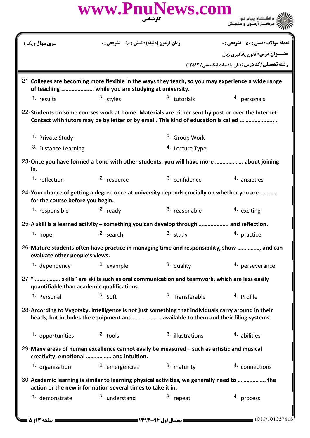|                                                                                                                                       | www.PnuNews.com                                                                    | کارشناسی                                                                                                                                                                                                                       | ِ دانشڪاه پيام نـور<br>'مرڪــز آزمــون و سنجــش                                                   |
|---------------------------------------------------------------------------------------------------------------------------------------|------------------------------------------------------------------------------------|--------------------------------------------------------------------------------------------------------------------------------------------------------------------------------------------------------------------------------|---------------------------------------------------------------------------------------------------|
| <b>سری سوال :</b> یک ۱                                                                                                                | <b>زمان آزمون (دقیقه) : تستی : 90 ٪ تشریحی : 0</b>                                 |                                                                                                                                                                                                                                | <b>تعداد سوالات : تستی : 50 ٪ تشریحی : 0</b>                                                      |
|                                                                                                                                       |                                                                                    |                                                                                                                                                                                                                                | <b>عنـــوان درس:</b> فنون یادگیری زبان                                                            |
|                                                                                                                                       |                                                                                    |                                                                                                                                                                                                                                | <b>رشته تحصیلی/کد درس:</b> زبان وادبیات انگلیسی ۱۲۲۵۱۲۷                                           |
|                                                                                                                                       | of teaching  while you are studying at university.                                 |                                                                                                                                                                                                                                | 21-Colleges are becoming more flexible in the ways they teach, so you may experience a wide range |
| 1. results                                                                                                                            | <sup>2.</sup> styles                                                               | 3. tutorials                                                                                                                                                                                                                   | 4. personals                                                                                      |
| 22-Students on some courses work at home. Materials are either sent by post or over the Internet.                                     | Contact with tutors may be by letter or by email. This kind of education is called |                                                                                                                                                                                                                                |                                                                                                   |
| 1. Private Study                                                                                                                      |                                                                                    | 2. Group Work                                                                                                                                                                                                                  |                                                                                                   |
| 3. Distance Learning                                                                                                                  |                                                                                    | <sup>4.</sup> Lecture Type                                                                                                                                                                                                     |                                                                                                   |
| 23-Once you have formed a bond with other students, you will have more  about joining<br>in.                                          |                                                                                    |                                                                                                                                                                                                                                |                                                                                                   |
| 1. reflection                                                                                                                         | 2. resource                                                                        | 3. confidence                                                                                                                                                                                                                  | 4. anxieties                                                                                      |
| 24-Your chance of getting a degree once at university depends crucially on whether you are<br>for the course before you begin.        |                                                                                    |                                                                                                                                                                                                                                |                                                                                                   |
| 1. responsible                                                                                                                        | 2. ready                                                                           | 3. reasonable                                                                                                                                                                                                                  | 4. exciting                                                                                       |
| 25-A skill is a learned activity – something you can develop through  and reflection.                                                 |                                                                                    |                                                                                                                                                                                                                                |                                                                                                   |
| $1.$ hope                                                                                                                             | 2. search                                                                          | 3. study and the study of the study of the study of the study of the study of the study of the study of the study of the study of the study of the study of the study of the study of the study of the study of the study of t | 4. practice                                                                                       |
| evaluate other people's views.                                                                                                        |                                                                                    |                                                                                                                                                                                                                                | 26-Mature students often have practice in managing time and responsibility, show , and can        |
| 1. dependency                                                                                                                         | 2. example                                                                         | 3. quality                                                                                                                                                                                                                     | 4. perseverance                                                                                   |
| 27-"  skills" are skills such as oral communication and teamwork, which are less easily<br>quantifiable than academic qualifications. |                                                                                    |                                                                                                                                                                                                                                |                                                                                                   |
| 1. Personal                                                                                                                           | $2.$ Soft                                                                          | 3. Transferable                                                                                                                                                                                                                | 4. Profile                                                                                        |
| 28-According to Vygotsky, intelligence is not just something that individuals carry around in their                                   | heads, but includes the equipment and  available to them and their filing systems. |                                                                                                                                                                                                                                |                                                                                                   |
| 1. opportunities                                                                                                                      | $2.$ tools                                                                         | 3. illustrations                                                                                                                                                                                                               | 4. abilities                                                                                      |
| 29-Many areas of human excellence cannot easily be measured - such as artistic and musical                                            | creativity, emotional  and intuition.                                              |                                                                                                                                                                                                                                |                                                                                                   |
|                                                                                                                                       | 1. organization and 2. emergencies                                                 | 3. maturity                                                                                                                                                                                                                    | 4. connections                                                                                    |
| 30-Academic learning is similar to learning physical activities, we generally need to  the                                            | action or the new information several times to take it in.                         |                                                                                                                                                                                                                                |                                                                                                   |
| 1. demonstrate                                                                                                                        | 2. understand                                                                      | 3. repeat                                                                                                                                                                                                                      | 4. process                                                                                        |
| <b>= صفحه 2 از 5 =</b>                                                                                                                |                                                                                    |                                                                                                                                                                                                                                | $=$ 1010/101027418                                                                                |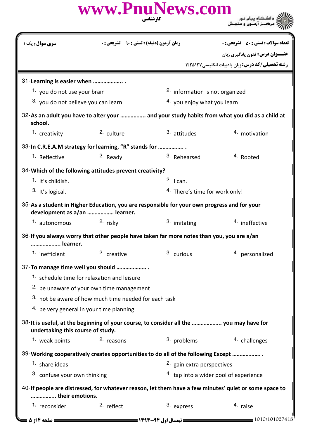| www.PnuNews.com<br>کا، شناسی | ے :<br>حکالات دانشگاہ پیام نور<br>حکالات مرکبز آزمیون و سنجش |
|------------------------------|--------------------------------------------------------------|
|                              |                                                              |

| <b>سری سوال :</b> یک ۱                                  | <b>زمان آزمون (دقیقه) : تستی : ۹۰٪ تشریحی : 0</b>     |                                                                                             | <b>تعداد سوالات : تستی : 50 ٪ تشریحی : 0</b>                                                          |  |
|---------------------------------------------------------|-------------------------------------------------------|---------------------------------------------------------------------------------------------|-------------------------------------------------------------------------------------------------------|--|
|                                                         |                                                       |                                                                                             | عنـــوان درس: فنون يادگيري زبان                                                                       |  |
|                                                         |                                                       |                                                                                             | رشته تحصیلی/کد درس: زبان وادبیات انگلیسی ۱۲۲۵۱۲۷                                                      |  |
| 31-Learning is easier when                              |                                                       |                                                                                             |                                                                                                       |  |
| 1. you do not use your brain                            |                                                       | 2. information is not organized                                                             |                                                                                                       |  |
|                                                         | 3. you do not believe you can learn                   |                                                                                             | 4. you enjoy what you learn                                                                           |  |
|                                                         |                                                       |                                                                                             | 32-As an adult you have to alter your  and your study habits from what you did as a child at          |  |
| school.                                                 |                                                       |                                                                                             |                                                                                                       |  |
| 1. creativity                                           | 2. culture                                            | 3. attitudes                                                                                | 4. motivation                                                                                         |  |
| 33-In C.R.E.A.M strategy for learning, "R" stands for   |                                                       |                                                                                             |                                                                                                       |  |
| 1. Reflective                                           | $2.$ Ready                                            | 3. Rehearsed                                                                                | <sup>4.</sup> Rooted                                                                                  |  |
| 34-Which of the following attitudes prevent creativity? |                                                       |                                                                                             |                                                                                                       |  |
| <sup>1.</sup> It's childish.                            |                                                       | $2.$ I can.                                                                                 |                                                                                                       |  |
| <sup>3.</sup> It's logical.                             |                                                       | <sup>4.</sup> There's time for work only!                                                   |                                                                                                       |  |
|                                                         |                                                       | 35-As a student in Higher Education, you are responsible for your own progress and for your |                                                                                                       |  |
| development as a/an  learner.                           |                                                       |                                                                                             |                                                                                                       |  |
| 1. autonomous                                           | $2.$ risky                                            | 3. imitating                                                                                | <sup>4</sup> ineffective                                                                              |  |
| learner.                                                |                                                       | 36-If you always worry that other people have taken far more notes than you, you are a/an   |                                                                                                       |  |
| 1. inefficient                                          | 2. creative                                           | 3. curious                                                                                  | 4. personalized                                                                                       |  |
| 37-To manage time well you should                       |                                                       |                                                                                             |                                                                                                       |  |
| 1. schedule time for relaxation and leisure             |                                                       |                                                                                             |                                                                                                       |  |
|                                                         | <sup>2.</sup> be unaware of your own time management  |                                                                                             |                                                                                                       |  |
|                                                         | 3. not be aware of how much time needed for each task |                                                                                             |                                                                                                       |  |
| 4. be very general in your time planning                |                                                       |                                                                                             |                                                                                                       |  |
| undertaking this course of study.                       |                                                       | 38-It is useful, at the beginning of your course, to consider all the  you may have for     |                                                                                                       |  |
| 1. weak points                                          | 2. reasons                                            | 3. problems                                                                                 | 4. challenges                                                                                         |  |
|                                                         |                                                       | 39-Working cooperatively creates opportunities to do all of the following Except            |                                                                                                       |  |
| 1. share ideas                                          |                                                       | 2. gain extra perspectives                                                                  |                                                                                                       |  |
| 3. confuse your own thinking                            |                                                       |                                                                                             | 4. tap into a wider pool of experience                                                                |  |
|                                                         |                                                       |                                                                                             | 40-If people are distressed, for whatever reason, let them have a few minutes' quiet or some space to |  |
| their emotions.                                         |                                                       |                                                                                             |                                                                                                       |  |
| 1. reconsider                                           | 2. reflect                                            | 3. express                                                                                  | 4. raise                                                                                              |  |
| صفحه ۱۴; 5                                              |                                                       | == نیمسال اول ۹۴-۱۳۹۳ ===========                                                           | $=$ 1010/101027418                                                                                    |  |